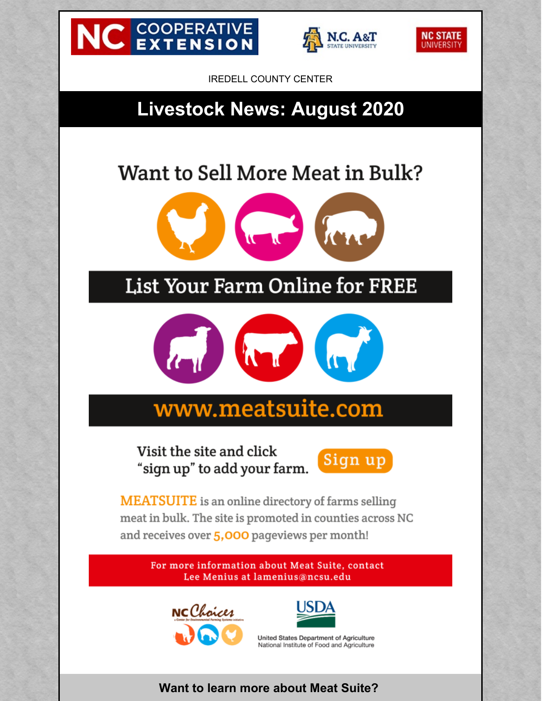





IREDELL COUNTY CENTER

## **Livestock News: August 2020**

# Want to Sell More Meat in Bulk?



## List Your Farm Online for FREE



# www.meatsuite.com

Visit the site and click "sign up" to add your farm.



**MEATSUITE** is an online directory of farms selling meat in bulk. The site is promoted in counties across NC and receives over 5,000 pageviews per month!

> For more information about Meat Suite, contact Lee Menius at lamenius@ncsu.edu





United States Department of Agriculture National Institute of Food and Agriculture

#### **Want to learn more about Meat Suite?**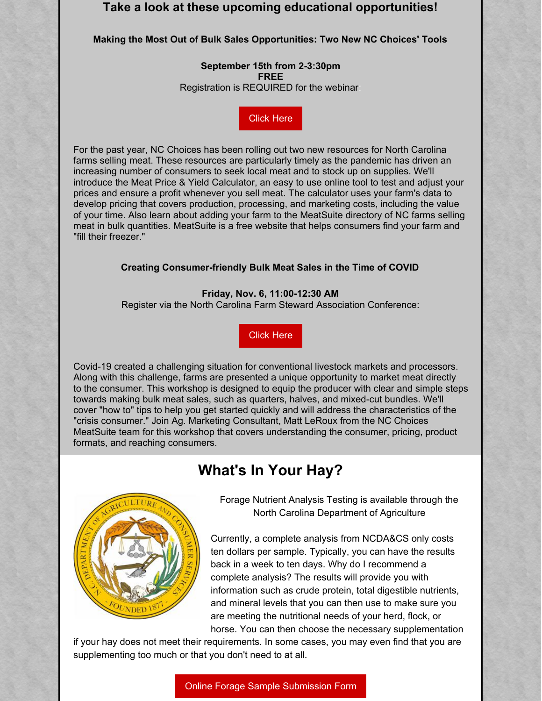#### **Take a look at these upcoming educational opportunities!**

#### **Making the Most Out of Bulk Sales Opportunities: Two New NC Choices' Tools**

**September 15th from 2-3:30pm FREE** Registration is REQUIRED for the webinar:

[Click](https://cefs.ncsu.edu/food-system-initiatives/nc-choices/upcoming-events/) Here

For the past year, NC Choices has been rolling out two new resources for North Carolina farms selling meat. These resources are particularly timely as the pandemic has driven an increasing number of consumers to seek local meat and to stock up on supplies. We'll introduce the Meat Price & Yield Calculator, an easy to use online tool to test and adjust your prices and ensure a profit whenever you sell meat. The calculator uses your farm's data to develop pricing that covers production, processing, and marketing costs, including the value of your time. Also learn about adding your farm to the MeatSuite directory of NC farms selling meat in bulk quantities. MeatSuite is a free website that helps consumers find your farm and "fill their freezer."

#### **Creating Consumer-friendly Bulk Meat Sales in the Time of COVID**

**Friday, Nov. 6, 11:00-12:30 AM** Register via the North Carolina Farm Steward Association Conference:

[Click](https://www.carolinafarmstewards.org/sac/) Here

Covid-19 created a challenging situation for conventional livestock markets and processors. Along with this challenge, farms are presented a unique opportunity to market meat directly to the consumer. This workshop is designed to equip the producer with clear and simple steps towards making bulk meat sales, such as quarters, halves, and mixed-cut bundles. We'll cover "how to" tips to help you get started quickly and will address the characteristics of the "crisis consumer." Join Ag. Marketing Consultant, Matt LeRoux from the NC Choices MeatSuite team for this workshop that covers understanding the consumer, pricing, product formats, and reaching consumers.

#### **What's In Your Hay?**



Forage Nutrient Analysis Testing is available through the North Carolina Department of Agriculture

Currently, a complete analysis from NCDA&CS only costs ten dollars per sample. Typically, you can have the results back in a week to ten days. Why do I recommend a complete analysis? The results will provide you with information such as crude protein, total digestible nutrients, and mineral levels that you can then use to make sure you are meeting the nutritional needs of your herd, flock, or horse. You can then choose the necessary supplementation

if your hay does not meet their requirements. In some cases, you may even find that you are supplementing too much or that you don't need to at all.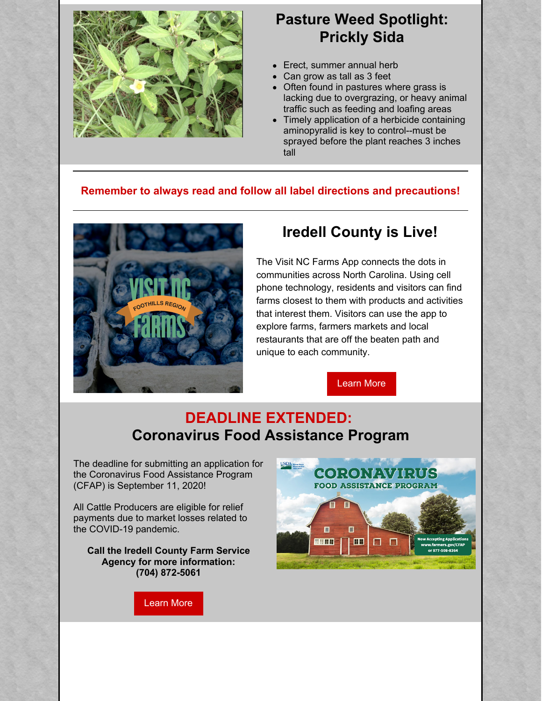

#### **Pasture Weed Spotlight: Prickly Sida**

- Erect, summer annual herb
- Can grow as tall as 3 feet
- Often found in pastures where grass is lacking due to overgrazing, or heavy animal traffic such as feeding and loafing areas
- Timely application of a herbicide containing aminopyralid is key to control--must be sprayed before the plant reaches 3 inches tall

#### **Remember to always read and follow all label directions and precautions!**



#### **Iredell County is Live!**

The Visit NC Farms App connects the dots in communities across North Carolina. Using cell phone technology, residents and visitors can find farms closest to them with products and activities that interest them. Visitors can use the app to explore farms, farmers markets and local restaurants that are off the beaten path and unique to each community.

[Learn](https://visitncfarmstoday.com/) More

### **DEADLINE EXTENDED: Coronavirus Food Assistance Program**

The deadline for submitting an application for the Coronavirus Food Assistance Program (CFAP) is September 11, 2020!

All Cattle Producers are eligible for relief payments due to market losses related to the COVID-19 pandemic.

**Call the Iredell County Farm Service Agency for more information: (704) 872-5061**

[Learn](https://www.farmers.gov/cfap) More

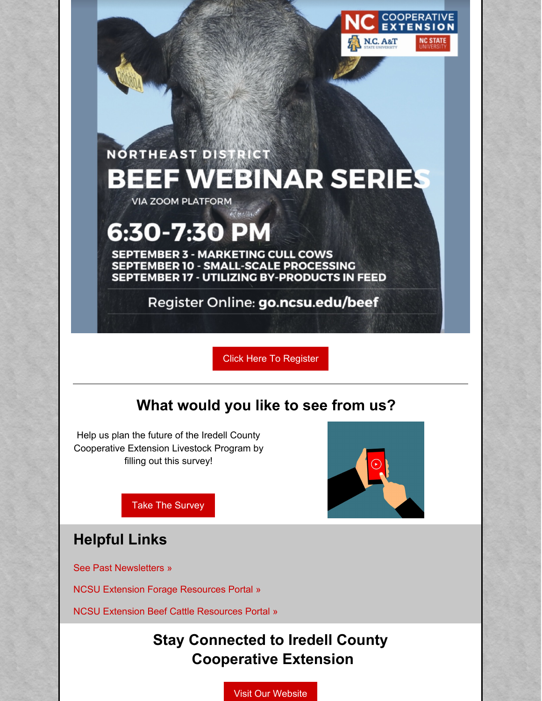

# **NORTHEAST DISTRICT BEEF WEBINAR SERIES**

**VIA ZOOM PLATFORM** 

# 6:30-7:30 P

**SEPTEMBER 3 - MARKETING CULL COWS SEPTEMBER 10 - SMALL-SCALE PROCESSING SEPTEMBER 17 - UTILIZING BY-PRODUCTS IN FEED** 

 $\tau_{\text{rel/4a}}$ 

Register Online: go.ncsu.edu/beef

Click Here To [Register](http://go.ncsu.edu/beef)

## **What would you like to see from us?**

Help us plan the future of the Iredell County Cooperative Extension Livestock Program by filling out this survey!



Take The [Survey](https://docs.google.com/forms/d/e/1FAIpQLScPH_Eq0JhXlWzGYm2rYc7GedQe3lctB7Fi-VB8orDTR-vb_g/viewform)

### **Helpful Links**

See Past [Newsletters](https://iredell.ces.ncsu.edu/iredell-countys-newsletters-archives/) »

NCSU Extension Forage [Resources](https://forages.ces.ncsu.edu/) Portal »

NCSU Extension Beef Cattle [Resources](https://beef.ces.ncsu.edu/) Portal »

## **Stay Connected to Iredell County Cooperative Extension**

Visit Our [Website](https://iredell.ces.ncsu.edu/)